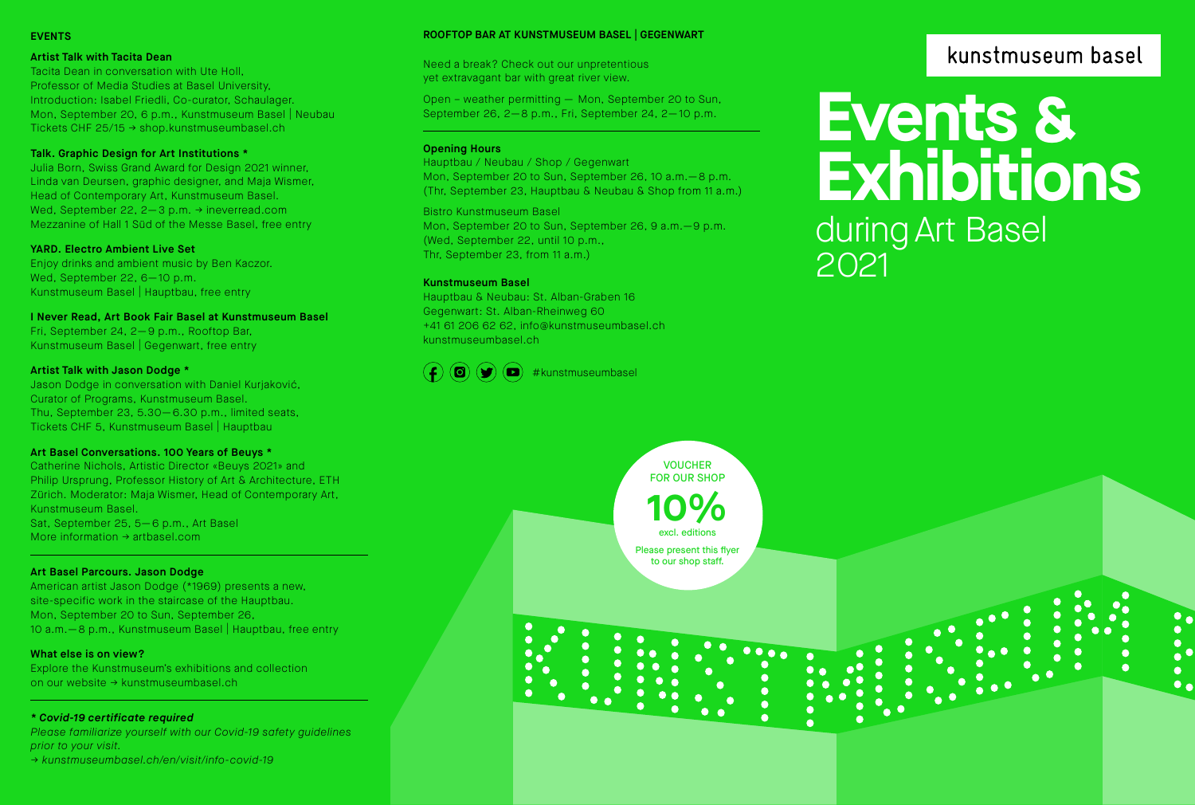# EVENTS

#### Artist Talk with Tacita Dean

Tacita Dean in conversation with Ute Holl, Professor of Media Studies at Basel University, Introduction: Isabel Friedli, Co-curator, Schaulager. Mon, September 20, 6 p.m., Kunstmuseum Basel | Neubau Tickets CHF 25/15 → shop.kunstmuseumbasel.ch

# Talk. Graphic Design for Art Institutions \*

Julia Born, Swiss Grand Award for Design 2021 winner, Linda van Deursen, graphic designer, and Maja Wismer, Head of Contemporary Art, Kunstmuseum Basel. Wed, September 22, 2—3 p.m. → ineverread.com Mezzanine of Hall 1 Süd of the Messe Basel, free entry

#### YARD. Electro Ambient Live Set

Enjoy drinks and ambient music by Ben Kaczor. Wed, September 22, 6-10 p.m. Kunstmuseum Basel | Hauptbau, free entry

#### I Never Read, Art Book Fair Basel at Kunstmuseum Basel

Fri, September 24, 2— 9 p.m., Rooftop Bar, Kunstmuseum Basel | Gegenwart, free entry

### Artist Talk with Jason Dodge \*

Jason Dodge in conversation with Daniel Kurjaković, Curator of Programs, Kunstmuseum Basel. Thu, September 23, 5.30— 6.30 p.m., limited seats, Tickets CHF 5, Kunstmuseum Basel | Hauptbau

# Art Basel Conversations. 100 Years of Beuys \*

Catherine Nichols, Artistic Director «Beuys 2021» and Philip Ursprung, Professor History of Art & Architecture, ETH Zürich. Moderator: Maja Wismer, Head of Contemporary Art, Kunstmuseum Basel. Sat, September 25, 5—6 p.m., Art Basel More information → artbasel.com

# Art Basel Parcours. Jason Dodge

American artist Jason Dodge (\*1969) presents a new, site-specific work in the staircase of the Hauptbau. Mon, September 20 to Sun, September 26, 10 a.m. - 8 p.m., Kunstmuseum Basel | Hauptbau, free entry

# What else is on view?

Explore the Kunstmuseum's exhibitions and collection on our website → kunstmuseumbasel.ch

#### *\* Covid-19 certificate required*

*Please familiarize yourself with our Covid-19 safety guidelines prior to your visit.*

*→ kunstmuseumbasel.ch/en/visit/info-covid-19*

#### ROOFTOP BAR AT KUNSTMUSEUM BASEL | GEGENWART

Need a break? Check out our unpretentious yet extravagant bar with great river view.

Open – weather permitting — Mon, September 20 to Sun, September 26, 2—8 p.m., Fri, September 24, 2—10 p.m.

# Opening Hours

Hauptbau / Neubau / Shop / Gegenwart Mon, September 20 to Sun, September 26, 10 a.m.—8 p.m. (Thr, September 23, Hauptbau & Neubau & Shop from 11 a.m.)

# Bistro Kunstmuseum Basel

Mon, September 20 to Sun, September 26, 9 a.m.—9 p.m. (Wed, September 22, until 10 p.m., Thr, September 23, from 11 a.m.)

> VOUCHER FOR OUR SHOP

> > excl. editions

Please present this flyer to our shop staff.

 $\frac{9}{6}$ 

**10**

# Kunstmuseum Basel

Hauptbau & Neubau: St. Alban-Graben 16 Gegenwart: St. Alban-Rheinweg 60 +41 61 206 62 62, info@kunstmuseumbasel.ch kunstmuseumbasel.ch



# kunstmuseum basel

**Events & Exhibitions** during Art Basel 2021